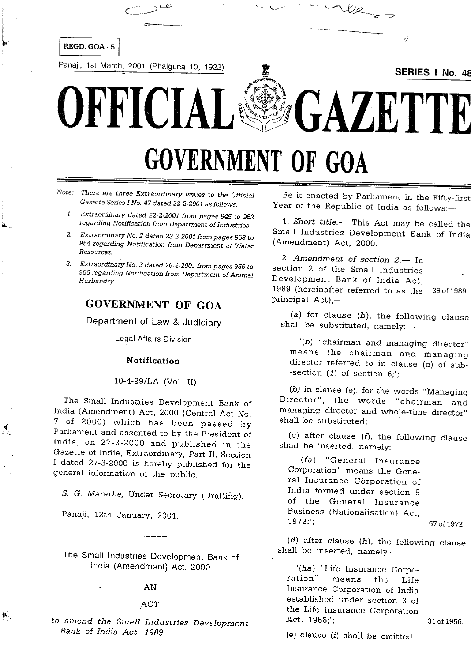

# **GOVERNMENT OF GOA**

Note. There are three Extraordinary issues to the Official Gazette Series I No. 47 dated 22-2-2001 as follows:

- Extraordinary dated 22-2-2001 from pages 945 to 952  $\mathbf{1}$ regarding Notification from Department of Industries.
- Extraordinary No. 2 dated 23-2-2001 from pages 953 to 954 regarding Notification from Department of Water Resources.
- Extraordinary No. 3 dated 26-2-2001 from pages 955 to  $3^{\circ}$ 956 regarding Notification from Department of Animal Husbandry.

# **GOVERNMENT OF GOA**

Department of Law & Judiciary

Legal Affairs Division

#### Notification

#### 10-4-99/LA (Vol. II)

The Small Industries Development Bank of India (Amendment) Act, 2000 (Central Act No. 7 of 2000) which has been passed by Parliament and assented to by the President of India, on 27-3-2000 and published in the Gazette of India, Extraordinary, Part II, Section I dated 27-3-2000 is hereby published for the general information of the public.

S. G. Marathe, Under Secretary (Drafting).

Panaji, 12th January, 2001.

抓

The Small Industries Development Bank of India (Amendment) Act, 2000

## AN

## ACT

to amend the Small Industries Development Bank of India Act, 1989.

Be it enacted by Parliament in the Fifty-first Year of the Republic of India as follows:-

1. Short title.— This Act may be called the Small Industries Development Bank of India (Amendment) Act, 2000.

2. Amendment of section 2.- In section 2 of the Small Industries Development Bank of India Act, 1989 (hereinafter referred to as the 39 of 1989. principal Act),-

(a) for clause  $(b)$ , the following clause shall be substituted, namely:-

'(b) "chairman and managing director" means the chairman and managing director referred to in clause (a) of sub--section  $(1)$  of section 6;';

(b) in clause (e), for the words "Managing Director", the words "chairman and managing director and whole-time director" shall be substituted:

 $(c)$  after clause  $(f)$ , the following clause shall be inserted, namely:-

'(fa) "General Insurance Corporation" means the General Insurance Corporation of India formed under section 9 of the General Insurance Business (Nationalisation) Act, 1972.'

 $(d)$  after clause  $(h)$ , the following clause shall be inserted, namely:-

'(ha) "Life Insurance Corporation" means the Life Insurance Corporation of India established under section 3 of the Life Insurance Corporation Act, 1956;';

31 of 1956.

57 of 1972.

(e) clause  $(i)$  shall be omitted;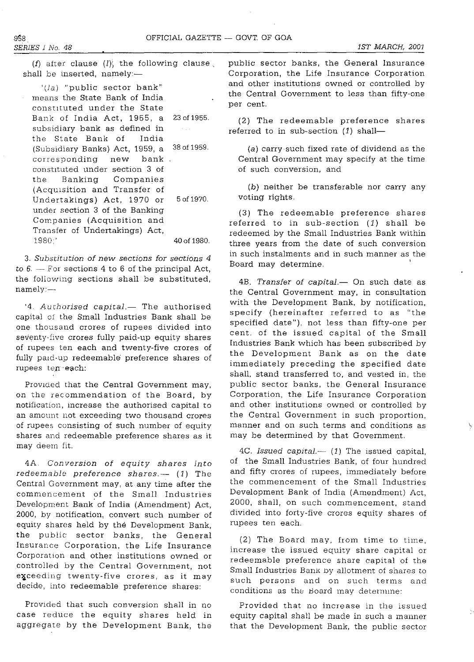(f) after clause  $(l)$ , the following clause. shall be inserted, namely:-

'(Ja) "public sector bank" means the State Bank of India constituted under the State Bank of India Act, 1955, a 23 of 1955. subsidiary bank as defined in  $\sim 100$ the State Bank of India (Subsldiary Banks) Act, 1959, a 380f1959. corresponding new bank constituted under section 3 of the Banking Companies (Acqulsition and Transfer of Undertakings) Act, 1970 or 5 of 1970. under section 3 of the Banking Companies (Acquisition and Transfer of Undertakings) Act, 1980;' 40 of 1980.

*3. Substitution* of *new sections for sections 4*  to  $6. -$  For sections 4 to 6 of the principal Act, the foliowmg sections shall be substituted, namely:-

'4. Authorised capital.- The authorised capital of the Small Industries Bank shall be one thousand crores of rupees divided into seventy-five crores fully paid-up equity shares of rupees ten each and twenty-five crores of fully paid-up redeemable preference shares of rupees *ten'* each:

Provlded that the Central Government may, on the recommendation of the Board, by notification, mcrease the authorised capital to an amount not exceeding two thousand crores of rupees consisting of such number of equity shares and redeemable preference shares as it may deem fit.

4A. *Conversion* of *equity shares into*  redeemable preference shares.-- (1) The Central Government may, at any time after the commencement of the Small Industries Development Bank of India (Amendment) Act, 2000, by notification, convert such number of equity shares held by the Development Bank, the public sector banks, the General Insurance Corporation, the Life Insurance Corporation and other institutions owned or controlled by the Central Government, not exceeding twenty-five crores, as it may decide, into redeemable preference shares:

Provided that such conversion shall in no case reduce the equity shares held in aggregate by the Development Bank, the

public sector banks, the General Insurance Corporation, the Life Insurance Corporation and other institutions owned or controlled by the Central Government to less than fifty-one per cent.

(2) The redeemable preference shares referred to in sub-section  $(1)$  shall-

(a) carry such fixed rate of dividend as the Central Government may specify at the time of such conversion, and

(b) neither be transferable nor carry any voting rights.

(3) The redeemable preference shares referred to in sub-section (1) shall be redeemed by the Small Industries Bank within three years from the date of such conversion in such instalments and in such manner as the Board may determine.

4B. *Transfer of capital.* On such date as the Central Government may, in consultation with the Development Bank, by notification, specify (hereinafter referred to as "the specified date"), not less than fifty-one per cent. of the issued capital of the Small Industries Bank which has been subscribed by the Development Bank as on the date immediately preceding the specified date shall, stand transferred to, and vested in, the public sector banks, the General Insurance Corporation, the Life Insurance Corporation and other institutions owned or controlled by the Central Government in such proportion, **manner and on such terms and conditions as**  may be determined by that Government.

4C. *Issued capital.*-- (1) The issued capital, of the Small Industries Bank, of four hundred and fifty crores of rupees, immediately before the commencement of the Small Industnes Development Bank of India (Amendment) Act, 2000, shall, on such commencement, stand divided into forty-five crores equity shares of rupees ten each.

(2) The Board may, from time to time, increase the issued equity share capital or redeemable preference share capital of the Small Industries Bank by allotment of shares to such persons and on such terms and conditions as the Board may determine:

Provided that no increase in the issued equity capital shall be made in such a manner that the Development Bank, the public sector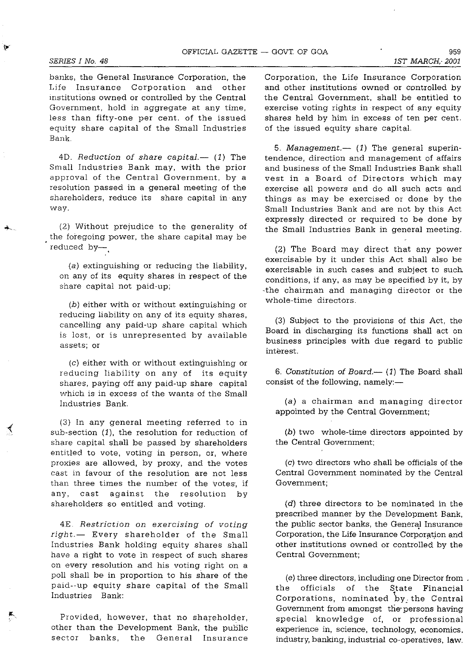⊀

banks, the General Insurance Corporation, the Life Insurance Corporation and other mstitutions owned or controlled by the Central Government, hold in aggregate at any time, less than fifty-one per cent. of the issued equity share capital of the Small Industries Bank.

4D. *Reduction of share capital.*-- (1) The Small Industries Bank may, with the prior approval of the Central Government, by a resolution passed *in* a general meeting of the shareholders, reduce its share capital in· any way.

(2) Without prejudice to the generality of the foregoing power, the share capital may be reduced by-

(a) extinguishing or reducing the liability, on any of its equity shares in respect of the share capital not paid-up;

(b) either with or without extinguishing or reducing liability on any of its equity shares, cancelling any paid-up share capital which is lost, or is unrepresented by available assets; or

(c) either with or without extinguishing or reducing liability on any of its equity shares, paying off any paid-up share capital which is in excess of the wants of the Small Industries Bank.

(3) In any general meeting referred to in sub-section (1), the resolution for reduction of share capital shall be passed by shareholders entitled to vote, voting in person, or, where proxies are allowed, by proxy, and the votes cast in favour of the resolution are not less than three times the number of the votes, if any, cast against the resolution by shareholders so entitled and voting.

4E. *Restriction on exercising* of *voting right.-* Every shareholder of the Small Industries Bank holding equity shares shall have a right to vote in respect of such shares on every resolution and his voting right on a poll shall be in proportion to his share of the paid--up equity share capital of the Small Industries Bank:

Provided, however, that no shareholder, other than the Development Bank, the public sector banks, the General Insurance

Corporation, the Life Insurance Corporation and other institutions owned or controlled by the Central Government, shall be entitled to exercise voting rights in respect of any equity shares held by him in excess of ten per cent. of the issued equity share capital.

*5. Management.-* (1) The general superintendence, direction and management of affairs and business of the Small Industries Bank shall vest in a Board of Directors which may exercise all powers and do all such acts and things as may be exercised or done by the Small Industries Bank and are not by this Act expressly directed or required to be done by the Small Industries Bank in general meeting.

(2) The Board may direct that any power exercisable by it under this Act shall also be exercisable in such cases and subject to such conditions, if any, as may be specified by it, by -the chairman and managing director or the whole-time directors.

(3) Subject to the provisions of this Act, the Board in discharging its functions shall act on business principles with due regard to public interest.

*6. Constitution* of *Board.-* (1) The Board shall consist of the following, namely:-

(a) a chairman and managing director appointed by the Central Government;

(b) two whole-time directors appointed by the Central Government;

(c) two directors who shall be officials of the Central Government nominated by the Central Government;

(d) three directors to be nominated in the prescribed manner by the Development Bank, the public sector banks, the General Insurance Corporation, the Life Insurance Corporation and other institutions owned or controlled by the Central Government;

(e) three directors, including one Director from the officials of the State Financial Corporations, nominated by: the Central Government from amongst the persons having special knowledge of, or professional experience in, science, technology, economics. industry, banking, industrial co-operatives, law,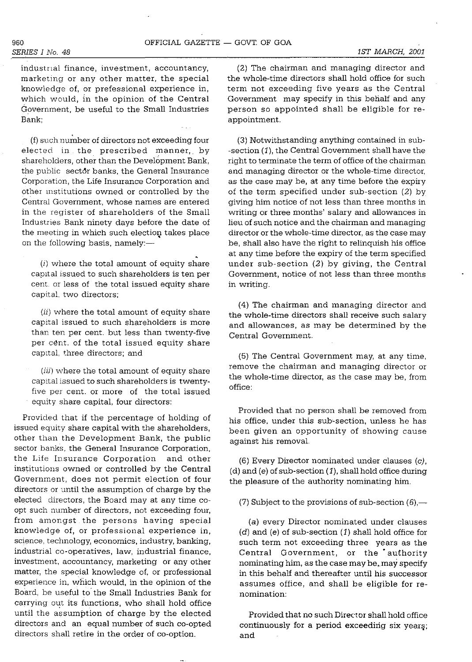industnal finance, investment, accountancy, marketing or any other matter, the special knowledge of, or prefessional experience in, which would, in the opinion of the Central Government, be useful to the Small Industries Bank;

(f) such number of directors not exceeding four elected in the prescribed manner, by shareholders, other than the Development Bank, the public sect6r banks, the General Insurance Corporation, the Life Insurance Corporation and other mstitutions owned or controlled by the Central Government, whose names are entered in the register of shareholders of the Small Industries Bank ninety days before the date of the meeting in which such election takes place on the following basis, namely: $-$ 

(i) where the total amount of equity share capital issued to such shareholders is ten per cent. or less of the total issued equity share capital, two directors;

(ii) where the total amount of equity share capital issued to such shareholders is more than ten per cent. but less than twenty-five per cent. of the total issued equity share capital, three directors; and

(iii) where the total amount of equity share capital issued to such shareholders is twentyfive per cent. or more of the total issued equity share capital, four directors:

Provided that if the percentage of holding of issued equity share capital with the shareholders, other than the Development Bank, the public sector banks, the General Insurance Corporation, the Life Insurance Corporation and other institutions owned or controlled by the Central Government, does not permit election of four directors or until the assumption of charge by the elected directors, the Board may at any time coopt such number of directors, not exceeding four, from amongst the persons having special knowledge of, or professional experience in, science, technology, economics, industry, banking, industrial co-operatives, law, industrial finance, investment, accountancy, marketing or any other matter, the special knowledge of, or professional experience in, which would, in the opinion of the Board, be useful to' the Small Industries Bank for carrying out its functions, who shall hold office until the assumption of charge by the elected directors and an equal number of such co-opted directors shall retire in the order of co-option.

(2) The chairman and managing director and the whole-time directors shall hold office for such term not exceeding five years as the Central Government may specify in this behalf and any person so appointed shall be eligible for reappointment.

(3) Notwithstanding anything contained in sub- -section (1), the Central Government shall have the right to terminate the term of office of the chairman and managing director or the whole-time director, as the case may be, at any time before the expiry of the term specified under sub-section (2) by giving him notice of not less than three months in writing or three months' salary and allowances in lieu of such notice and the chairman and managing director or the whole-time director, as the case may be, shall also have the right to relinquish his office at any time before the expiry of the term specified under sub-section (2) by giving, the Central Government, notice of not less than three months in writing.

(4) The chairman and managing director and the whole-time directors shall receive such salary and allowances, as may be determined by the Central Government.

(5) The Central Government may, at any time, remove the chairman and managing director or the whole-time director, as the case may be, from office:

Provided that no person shall be removed from his office, under this sub-section, unless he has been given an opportunity of showing cause against his removal.

(6) Every Director nominated under clauses (c), (d) and (e) of sub-section (1), shall hold office during the pleasure of the authority nominating him.

(7) Subject to the provisions of sub-section  $(6)$ ,—

(a) every Director nominated under clauses  $(d)$  and  $(e)$  of sub-section  $(1)$  shall hold office for such term not exceeding three years as the Central Government, or the authority nominating him, as the case may be,. may specify in this behalf and thereafter until his successor assumes office, and shall be eligible for re**nomination:** 

Provided that no such Director shall hold office continuously for a period exceeding six years; and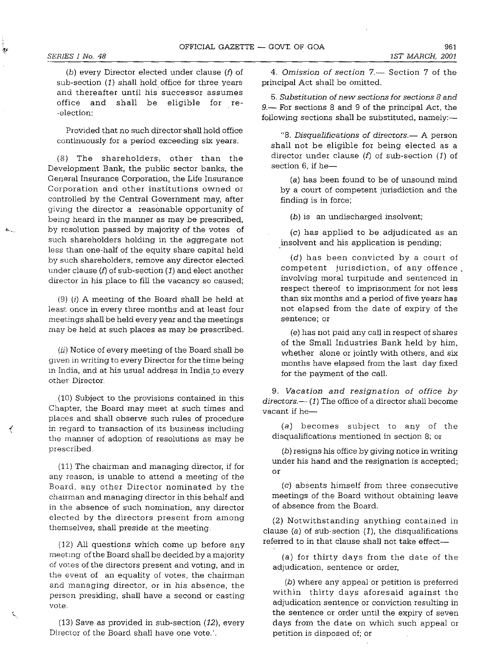$\sim$   $\sim$ 

(b) every Director elected under clause (f) of sub-section (1) shall hold office for three years and thereafter until his successor assumes office and shall be eligible for re- -election:

Provided that no such director-shall hold office continuously for a period exceeding six years.

(8) The shareholders, other than the Development Bank, the public sector banks, the General Insurance Corporation, the Life Insurance Corporation and other institutions owned or controlled by the Central Government may, after giving the director a reasonable opportunity of being heard in the manner as may be prescribed, by resolution passed by majority of the votes of such shareholders holding in the aggregate not less than one-half of the equity share capital held by such shareholders, remove any director elected under clause  $(f)$  of sub-section  $(1)$  and elect another director in his place to fill the vacancy so caused;

(9) (i) A meeting of the Board shall be held at least once in every three months and at least four meetings shall be held every year and the meetings may be held at such places as may be prescribed.

 $(ii)$  Notice of every meeting of the Board shall be given in writing to every Director for the time being in India, and at his usual address in India to every other Director.

(10) Subject to the provisions contained in this Chapter, the Board may meet at such times and places and shall observe such rules of procedure in regard to transaction of its business including the manner of adoption of resolutions as may be prescribed.

(11) The chairman and managing director, if for any reason, is unable to attend a meeting of the Board. any other Director nominated by the chairman and managing director in this behalf and in the absence of such nomination, any director elected by the directors present from among themselves, shall preside at the meeting.

(12) All questions which come up before any meetmg of the Board shall be decided by a majority of votes of the directors present and voting, and in the event of an equality of votes, the chairman and managing director, or in his absence, the person presiding, shall have a second or casting vote.

(13) Save·as provided in sub-section (12), every Director of the Board shall have one vote.'.

*4. Omission* of *section* 7.- Section 7 of the principa1 Act shall be omitted.

*5. Substitution* of *new sections for sections* 8 *and*  9.— For sections 8 and 9 of the principal Act, the following sections shall be substituted, namely:-

*"8. Disqualifications* of *directors.-* A person shall not be eligible for being elected as a director under clause  $(f)$  of sub-section  $(1)$  of section  $6.$  if he-

(a) has been found to be of unsound mind by a court of competent jurisdiction and the finding is in force;

(b) is an undischarged insolvent;

(c) has applied to be adjudicated as an insolvent and his application is pending;

(d) has been convicted by a court of competent jurisdiction, of any offence \_ involving moral turpitude and sentenced in respect thereof to imprisonment for not less than six months and a period of five years has not elapsed from the date of expiry of the **sentence; or** 

(e) has not paid any call in respect of shares of the Small Industries Bank held by him, whether alone or jointly with others, and six months have elapsed from the last day fixed for the payment of the call.

*9. Vacation and resignation* of office *by*  directors.  $-$  (1) The office of a director shall become vacant if he-

(a) becomes subject to any of the disqualifications mentioned in section 8; or

(b) resigns his office by giving notice in writing under his hand and the resignation is accepted; or

(c) absents himself from three consecutive meetings of the Board without obtaining leave of absence from the Board.

(2) Notwithstanding anything contained in clause (a) of sub-section  $(1)$ , the disqualifications referred to in that clause shall not take effect-

(a) for thirty days from the date of the adjudication, sentence or order,

(b) where any appeal or petition is preferred within thirty days aforesaid against the adjudication sentence or conviction resulting in the sentence or order until the expiry of seven days from the date on which such appeal or petition is disposed of; or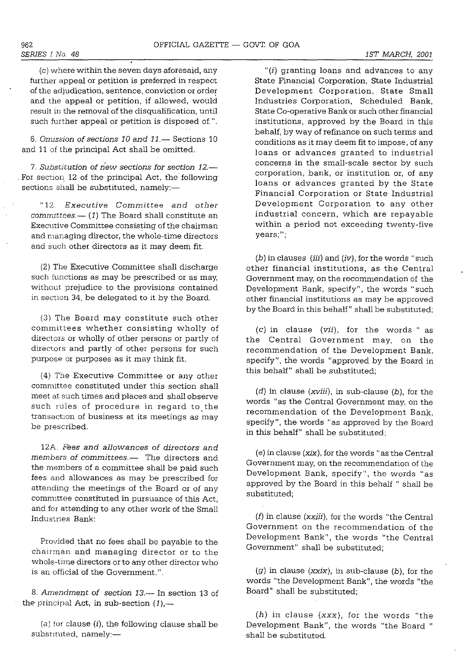(c) where within the seven days aforesaid, any further appeal or petition is preferred in respect of the adjudication, sentence, conviction or order and the appeal or petition, if allowed, would result in the removal of the disqualification, until such further appeal or petition is disposed of.".

*6. Omission* of *sections* 10 *and* 11.- Sections 10 and 11 of the principal Act shall be omitted.

*7. Substitution* of *new sections for section 12.-* For section 12 of the principal Act, the following sections shall be substituted, namely:-

"12 *Executive Committee and other committees.-* (1) The Board shall constitute an **Executive Committee consisting of the chairman** and managing director, the whole-time directors and such other directors as it may deem fit.

(2) The Executive Committee shall discharge such functions as may be prescribed or as may, without prejudice to the provisions contained in section 34, be delegated to it by the Board.

(3) The Board may constitute such other committees whether consisting wholly of directors or wholly of other persons or partly of directors and partly of other persons for such purpose or purposes as it may think fit.

(4) The Executive Committee or any other committee constituted under this section shall meet at such times and places and shall observe such rules of procedure in regard to the transaction of business at its meetings as may be prescribed.

12A. *Fees and allowances* of *directors and members* of *committees.-* The directors and the members of a committee shall be paid such fees and allowances as may be prescribed for attending the meetings of the Board or of any committee constituted in pursuance of this Act, and for attending to any other work of the Small Industries Bank:

Provided that no fees shall be payable to the chairman and managing director or to the whole-time directors or to any other director who is an official of the Government.".

*8. Amendment* of *section* 13.- In section 13 of the principal Act, in sub-section  $(1)$ ,-

(a) for clause  $(i)$ , the following clause shall be  $substituted, namely:$ 

"(i) granting loans and advances to any State Financial Corporation, State Industrial Development Corporation, State Small Industries Corporation, Scheduled Bank, State Co-operative Bank or such other financial institutions, approved by the Board in this behalf, by way of refinance on such terms and conditions as it may deem fit to impose, of any loans or advances granted to industrial concerns in the small-scale sector by such corporation, bank, or institution or, of any loans or advances granted by the State Financial Corporation or State Industrial Development Corporation to any other industrial concern, which are repayable within a period not exceeding twenty-five **years;";** 

*(b)* in clauses *(iii)* and *(iv),* for the words" such other financial institutions, as the Central Government may, on the recommendation of the Development Bank, specify", the words "such other financial institutions as may be approved by the Board in this behalf" shall be substituted;

(c) in clause *(vii),* for the words" as the Central Government may, on the recommendation of the Development Bank, specify", the words "approved by the Board in this behalf" shall be substituted;

 $(d)$  in clause  $(xviii)$ , in sub-clause  $(b)$ , for the words "as the Central Government may, on the recommendation of the Development Bank, specify", the words "as approved by the Board in this behalf" shall be substituted;

(e) in clause (xix), for the words "as the Central Government may, on the recommendation of the Development Bank, specify", the words "as approved by the Board in this behalf" shall be substituted;

(f) in clause *(xxiii),* for the words "the Central Government on the recommendation of the Development Bank", the words "the Central Government" shall be substituted;

(g) in clause *(xxix),* in sub-clause *(b),* for the words "the Development Bank", the words "the Board" shall be substituted;

*(h)* in clause *(xxx),* for the words "the Development Bank", the words "the Board" shall be substituted.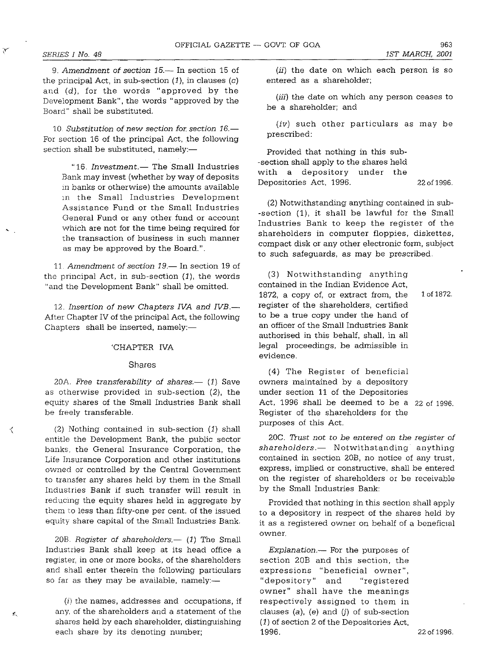长

 $\mathbf{K}_\mathrm{c}$ 

*9. Amendment* of *section* 15.- In section 15 of the principal Act, in sub-section  $(1)$ , in clauses  $(c)$ and (d), for the words "approved by the Development Bank", the words "approved by the Board" shall be substituted.

*10 Substitution* of *new section for. section 16.-* For section 16 of the principal Act, the following section shall be substituted, namely:-

"16. Investment.- The Small Industries Bank may invest (whether by way of deposits in banks or otherwise) the amounts available 111 the Small Industries Development Assistance Fund or the Small Industries General Fund or any other fund or account which are not for the time being required for the transaction of business in such manner as may be approved by the Board.".

11. Amendment of *section* 19.- In section 19 of the principal Act, in sub-section  $(1)$ , the words "and the Development Bank" shall be omitted.

12. Insertion of new Chapters IVA and IVB.-After Chapter IV of the principal Act, the following Chapters shall be inserted, namely:-

#### 'CHAPTER IVA

#### Shares

20A. *Free transferability of shares.* (1) Save as otherwise provided in sub-section (2), the equity shares of the Small Industries Bank shall be freely transferable.

 $(2)$  Nothing contained in sub-section  $(1)$  shall entitle the Development Bank, the public sector banks, the General Insurance Corporation, the Life Insurance Corporation and other institutions owned or controlled by the Central Government to transfer any shares held by them in the Small Industries Bank if such transfer will result in reducing the equity shares held in aggregate by them to less than fifty-one per cent. of the issued equity share capital of the Small Industries Bank.

20B. *Register of shareholders.*— (1) The Small Industries Bank shall keep at its head office a register, in one or more books, of the shareholders and shall enter therein the following particulars so far as they may be available, namely: $-$ 

 $(i)$  the names, addresses and occupations, if any, of the shareholders and a statement of the shares held by each shareholder, distinguishing each share by its denoting number;

(ii) the date on which each person is so entered as a shareholder;

(iii) the date on which any person ceases to be a shareholder; and

(iv) such other particulars as may be prescribed:

Provided that nothing in this sub- -section shall apply to the shares held with a depository under the Depositories Act, 1996. 22 of 1996.

(2) Notwithstanding anything contained in sub- -section (1), it shall be lawful for the Small Industries Bank to keep the register of the shareholders in computer floppies, diskettes, compact disk or any other electronic form, subject to such safeguards, as may be prescribed.

(3) Notwithstanding anything contained in the Indian Evidence Act, 1872, a copy of, or extract from, the register of the shareholders, certified to be a true copy under the hand of an officer of the Small Industries Bank authorised in this behalf, shall, in all legal proceedings, be admissible in evidence. 1 of 1872.

(4) The Register of beneficial owners maintained by a depository under section **11** of the Depositories Act, 1996 shall be deemed to be a 22 of 1996. Register of the shareholders for the purposes of this Act.

20C. *TI-ust not* to *be entered on the register of shareholders.-* Notwithstanding anything contained in section 20B, no notice of any trust, express, implied or constructive, shall be entered on the register of shareholders or be receivable by the Small Industries Bank:

Provided that nothing in this section shall apply to a depository in respect of the shares held by it as a registered owner on behalf of a beneficial **owner.** 

*Explanation.-* For the purposes of section 20B and this section, the expressions "beneficial owner", "depository" and "registered owner" shall have the meanings respectively assigned to them in clauses  $(a)$ ,  $(e)$  and  $(j)$  of sub-section (1) of section 2 of the Depositories Act, 1996. 22 of 1996.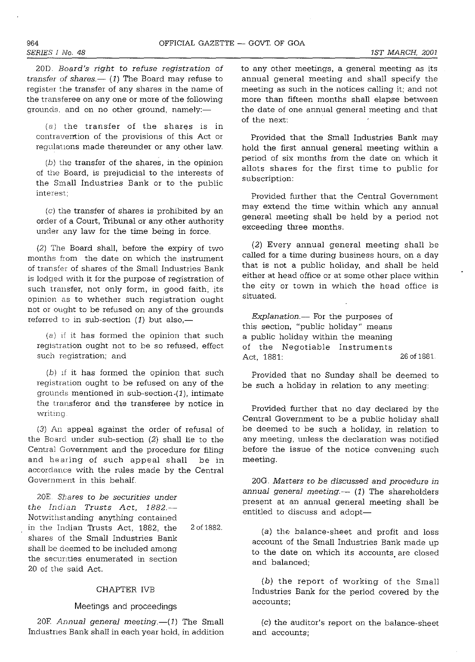20D. *Board's right* to *refuse registration* of *transfer of shares.* $-$  (1) The Board may refuse to register the transfer of *any* shares in the *name* of the transferee *on anyone* or more of the following grounds, and on no other ground, namely:-

(a) the transfer of the shares is in contravention of the provisions of this Act or regulations made thereunder or any other law.

 $(b)$  the transfer of the shares, in the opinion of the Board, is prejudicial to the interests of the Small Industries Bank or to the public **interest;** 

*(c)* the transfer of shares is prohibited by *an*  order of a Court, Tribunal or *any* other authority under any law for the time being in force.

(2) The Board shall, before the expiry of two months from the date on which the instrument of transfer of shares of the Small Industries Bank is lodged with it for the purpose of registration of such transfer, *not* only form, in good faith, its opinion as to whether such registration ought nct or ought to be refused on any of the grounds referred to in sub-section  $(1)$  but also,—

(8) If it has formed the opinion that such registration ought not to be so refused, effect such registration; and

 $(b)$  if it has formed the opinion that such registration ought to be refused on any of the grounds mentioned in sub-section. $(1)$ , intimate the transferor and the transferee by notice in **writIng** 

(3) An appeal against the order of refusal of the Board under sub-section (2) shall lie to the Central Government and the procedure for filing and he aring of such appeal shall be in accordance with the rules made by the Central Government in this behalf.

20E. *Shares* to *be securities under the Indian Trusts Act, 1882.-* Notwithstanding anything contained in the Indian Trusts Act, 1882, the shares of the Small Industries Bank shall be deemed to be included among the secunties enumerated in section 20 of the said Act.

2 of 1882.

#### CHAPTER IVB

#### Meetings and proceedings

20F. Annual general meeting.-(1) The Small Industnes Bank shall in each year hold, in addition to *any* other meetings, a general meeting as its annual general meeting and shall specify the meeting as such in the notices calling it; and *not*  more than fifteen months shall elapse between the date of *one* annual general meeting and that of the next:

Provided that the Small Industries Bank may hold the first annual general meeting within a period of six months from the date *on* which it allots shares for the first time to public for subscription:

Provided further that the Central Government may extend the time within which *any* annual general meeting shall be held by a period *not*  exceeding three months.

(2) Every annual general meeting shall be called for a time during business hours, *on* a day that is *not* a public holiday, and shall be held either at head office or at some other place within the city or town in which the head office is situated.

*Explanation.*- For the purposes of this section, "public holiday" means a public holiday within the meaning of the Negotiable Instruments Act, 1881: 26 of 1881.

Provided that *no* Sunday shall be deemed to be such a holiday in relation to *any* meeting:

Provided further that *no* day declared by the Central Government to be a public holiday shall be deemed to be such a holiday, in relation to *any* meeting, unless the declaration was notified before the issue of the notice convening such meeting.

20G. *Matters* to *be discussed and procedure* in annual general meeting.-- (1) The shareholders present at *an* annual general meeting shall be entitled to discuss and adopt-

(a) the balance-sheet and profit and loss account of the Small Industries Bank made up to the date on which its accounts are closed and balanced;

(b) the report of working of the Small Industries Bank for the period covered by the accounts;

(c) the auditor's report *on* the balance-sheet *and* accounts;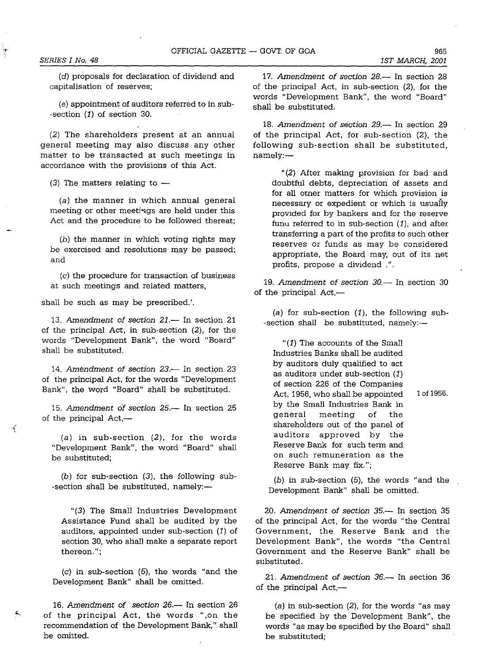(d) proposals for declaration of dividend and capitalisation of reserves;

(e) appointment of auditors referred to in sub- -section (1) of section 30.

(2) The shareholders present at an annual general meeting may also discuss any other matter to be transacted at such meetings in accordance with the provisions of this Act.

(3) The matters relating to  $-$ 

(a) the manner in which annual general meeting or other meetings are held under this Act and the procedure to be followed thereat;

(b) the manner in which voting rights may be exercised and resolutions may be passed; and

 $(c)$  the procedure for transaction of business at such meetings and related matters,

shall be such as may be prescribed.'.

13. Amendment of *section* 21.- In section 21 of the principal Act, in sub-section (2), for the words "Development Bank", the word "Board" shall be substituted.

14. Amendment of *section 23*.- In section 23 of the principal Act, for the words "Development Bank", the word "Board" shall be substituted.

15. Amendment of section 25.- In section 25 of the principal  $Act$ , $-$ 

₹

(a) in sub-section (2), for the words "Development Bank", the word "Board" shall be substituted;

(b) for sub-section (3), the following sub- -section shall be substituted, namely:-

"(3) The Small Industries Development Assistance Fund shall be audited by the auditors, appointed under sub-section  $(1)$  of section 30, who shall make a separate report **thereon.";** 

 $(c)$  in sub-section  $(5)$ , the words "and the Development Bank" shall be omitted.

16. Amendment of *section 26*.- In section 26 of the principal Act, the words ",on the recommendation of the Development Bank," shall be omitted.

17. Amendment of *section* 28.- In section 28 of the principal Act, in sub-section (2), for the words "Development Bank", the word "Board" shall be substituted.

18. Amendment of *section* 29.- In section 29 of the principal Act, for sub-section (2), the following sub-section shall be substituted,  $namely:$ 

"(2) After making provision for bad and doubtful debts, depreciation of assets and for all omer matters for which provision is necessary or expedient or which is usually proVIded for by bankers and for the reserve funu referred to in sub-section  $(1)$ , and after transferring a part of the profits to such other reserves or funds as may be considered appropriate, the Board may, out of its net profits, propose a dividend .".

*19. Amendment* of *section 30.-* In section 30 of the principal  $Act,-$ 

(a) for sub-section  $(1)$ , the following sub--section shall be substituted, namely:-

"(1) The accounts of the Small Industries Banks shall be audited by auditors duly qualified to act as auditors under sub-section  $(1)$ of section 226 of the Companies Act, 1956, who shall be appointed 1 of 1956. by the Small Industries Bank in general meeting of the shareholders out of the panel of auditors approved by the Reserve Bank for such term and on such remuneration as the Reserve Bank may fix.";

(b) in sub-section (5), the words "and the Development Bank" shall be omitted.

*20. Amendment* of *section* 35.- In section 35 of the principal Act, for the words "the Central Government, the Reserve Bank and the Development Bank", the words "the Central Government and the Reserve Bank" shall be sUbstituted.

21. Amendment of *section* 36.- In section 36 of the principal  $Act, -$ 

(a) in sub-section  $(2)$ , for the words "as may be specified by the Development Bank", the words "as may be specified by the Board" shall be substituted;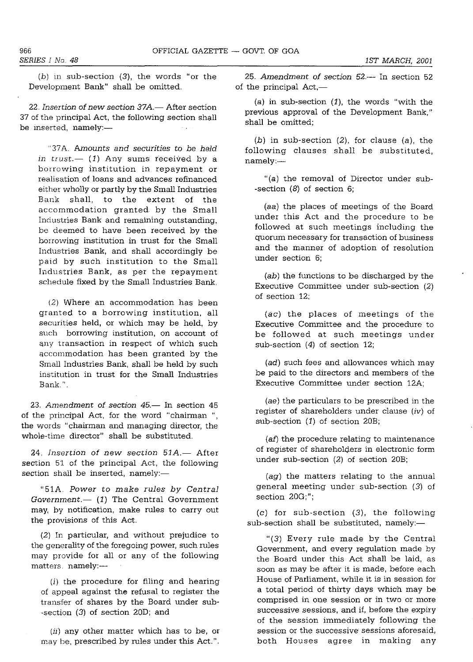$(b)$  in sub-section  $(3)$ , the words "or the Development Bank" shall be omitted.

22. Insertion of new section 37A.- After section 37 of the principal Act, the following section shall be inserted, namely:-

"37A. *Amounts and securities to be held*  in *trust.*-- (1) Any sums received by a borrowing institution in repayment or realisation of loans and advances refinanced either wholly or partly by the Small Industries Bank shall, to the extent of the accommodation granted by the Small Industries Bank and remaining outstanding, be deemed to have been received by the borrowing institution in trust for the Small Industries Bank, and shall accordingly be paid by such institution to the Small Industries Bank, as per the repayment schedule fixed by the Small Industries Bank.

(2) Where an accommodation has been granted to a borrowing institution, all securities held, or which may be held, by such borrowing institution, on account of any transaction in respect of which such &ccommodation has been granted by the Small Industries Bank, shall be held by such institution in trust for the Small Industries Bank".

23. Amendment of section  $45-$  In section  $45$ of the principal Act, for the word "chairman ", the words "chairman and managing director, the whole-time director" shall be substituted.

24. Insertion of new section 51A.- After section 51 of the principal Act, the following section shall be inserted, namely:-

"51A. *Power* to *make rules by Central Government.* (1) The Central Government may, by notification, make rules to carry out the provisions of this Act.

(2) In particular, and without prejudice to the generality of the foregoing power, such rules may provide for all or any of the following matters namely:---

(i) the procedure for filing and hearing of appeal against the refusal to register the transfer of shares by the Board under sub- -section (3) of section 20D; and

(ii) any other matter which has to be, or may be, prescribed by rules under this Act.".

25. Amendment of section 52.- In section 52 of the principal  $Act,-$ 

(a) in sub-section (1), the words "with the previous approval of the Development Bank," shall be omitted;

(b) in sub-section (2), for clause (a), the following clauses shall be substituted, namely:-

"(a) the removal of Director under sub- -section (8) of section 6;

(aa) the places of meetings of the Board under this Act and the procedure to be followed at such meetings including the quorum necessary for transaction of business and the manner of adoption of resolution under section 6;

*(ab)* the functions to be discharged by the Executive Committee under sub-section (2) of section 12;

(ac) the places of meetings of the Executive Committee and the procedure to be followed at such meetings under sub-section (4) of section 12;

*(ad)* such fees and allowances which may be paid to the directors and members of the Executive Committee under section 12A;

*(ae)* the particulars to be prescribed in the register of shareholders under clause (iv) of sub-section (1) of section 20B;

(af) the procedure relating to maintenance of register of shareholders in electronic form under sub-section (2) of section 20B;

(ag) the matters relating to the annual general meeting under SUb-section (3) of **section 20G;";** 

(c) for sub-section (3), the following sub-section shall be substituted, namely:-

"(3) Every rule made by the Central Government, and every regulation made by the Board under this Act shall be laid, as soon as may be after it is made, before each House of Parliament, while it is in session for a total period of thirty days which may be **comprised in one session or in two or more**  successive sessions, and if, before the expiry of the session immediately following the session or the successive sessions aforesaid, both Houses agree in making any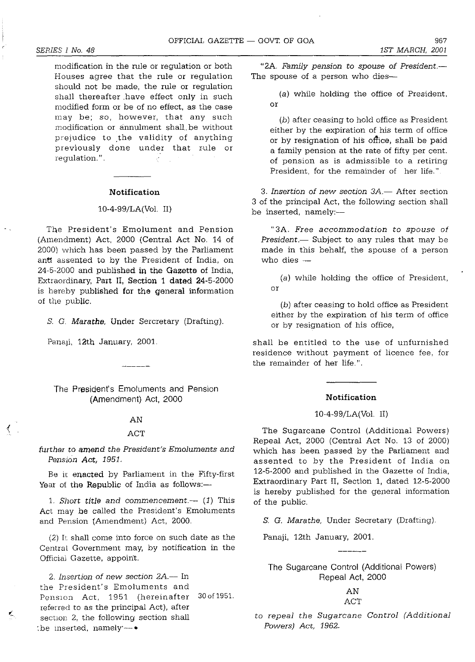modification in the rule or regulation or both Houses agree that the rule or regulation should not be made, the rule or regulation shall thereafter have effect only in such modified form or be of no effect, as the case may be; so, however, that any such modification or annulment shall. be without prejudice to the validity of anything previously done under that rule or regulation." . **Contract** 

#### **Notification**

#### 10-4-99/LA(Vol. II)

The President's Emolument and Pension (Amendment) Act, 2000 (Central Act No. 14 of 2000) which has been passed by the Parliament ant assented to by the President of India, on 24-5-2000 and published **in** the Gazette of India, Extraordinary, Part II, Section **1 dated** 24-5-2000 is hereby published **for** the general information of the public.

S. G. *Marathe,* Under Sercretary (Drafting).

Panai, 12th January, 2001.

 $\langle$ .

K,

The President's Emoluments and Pension (Amendment) Act, 2000

#### AN

#### ACT

#### *further* to *amend the President's Emoluments and Pension Act, 1951.*

Be it enacted by Parliament in the Fifty-first Year of the Republic of India as follows:-

1. Short title and commencement.-- (1) This Act may be called the President's Emoluments and Pension (Amendment) Act, 2000.

(2) It shall come into force on such date as the Central Government may, by notification in the Officiai Gazette, appoint.

*2. Insertion* of *new section 2A.-* In the President's Emoluments and Pension Act, 1951 (hereinafter 30 of 1951. referred to as the principal Act), after section 2, the following section shall the inserted, namely- $\bullet$ 

"2A. *Family pension* to *spouse* of *President.-* The spouse of a person who dies-

(a) while holding the office of President, or

(b) after ceasing to hold office as President either by the expiration of his term of office or by resignation of his office, shall be paid a family pension at the rate of fifty per cent. of pension as is admissible to a retiring President, for the remainder of her life.".

*3. Insertion* of *new section 3A.-* After section 3 of the principal Act, the following section shall be inserted, namely:-

"3A. *Free accommodation to spouse of President.*- Subject to any rules that may be made in this behalf, the spouse of a person who dies  $-$ 

(a) while holding the office of President, or

(b) after ceasing to hold office as President either by the expiration of his term of office or by resignation of his office,

shall be entitled to the use of unfurnished residence without payment of licence fee, for the remainder of her life.".

#### **Notification**

#### 10-4-99/LA(Vol. II)

The Sugarcane Control (Additional Powers) Repeal Act, 2000 (Central Act No. 13 of 2000) which has been passed by the Parliament and assented to by the President of India on 12-5-2000 and published in the Gazette of India, Extraordinary Part II, Section 1, dated 12-5-2000 is hereby published for the general information of the public.

S. G. *Mara the,* Under Secretary (Drafting).

Panaji, 12th January, 2001.

The Sugarcane Control (Additional Powers) Repeal Act, 2000

## AN ACT

to *repeal the Sugarcane Control (Additional Powers) Act, 1962.*